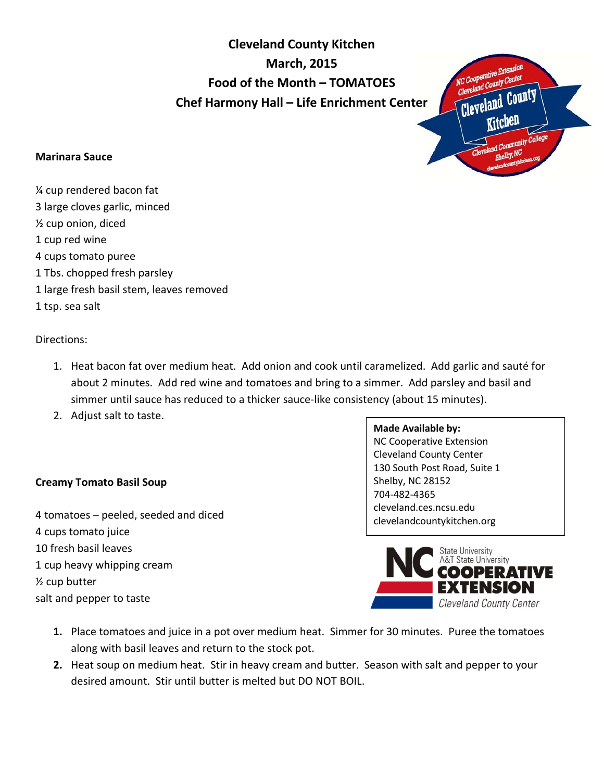**Cleveland County Kitchen March, 2015 Food of the Month – TOMATOES Chef Harmony Hall – Life Enrichment Center** 



## **Marinara Sauce**

¼ cup rendered bacon fat 3 large cloves garlic, minced ½ cup onion, diced 1 cup red wine 4 cups tomato puree 1 Tbs. chopped fresh parsley 1 large fresh basil stem, leaves removed 1 tsp. sea salt

Directions:

- 1. Heat bacon fat over medium heat. Add onion and cook until caramelized. Add garlic and sauté for about 2 minutes. Add red wine and tomatoes and bring to a simmer. Add parsley and basil and simmer until sauce has reduced to a thicker sauce-like consistency (about 15 minutes).
- 2. Adjust salt to taste.

## **Creamy Tomato Basil Soup**

4 tomatoes – peeled, seeded and diced 4 cups tomato juice 10 fresh basil leaves 1 cup heavy whipping cream ½ cup butter salt and pepper to taste

**Made Available by:**  NC Cooperative Extension Cleveland County Center 130 South Post Road, Suite 1 Shelby, NC 28152 704-482-4365 cleveland.ces.ncsu.edu clevelandcountykitchen.org



- **1.** Place tomatoes and juice in a pot over medium heat. Simmer for 30 minutes. Puree the tomatoes along with basil leaves and return to the stock pot.
- **2.** Heat soup on medium heat. Stir in heavy cream and butter. Season with salt and pepper to your desired amount. Stir until butter is melted but DO NOT BOIL.